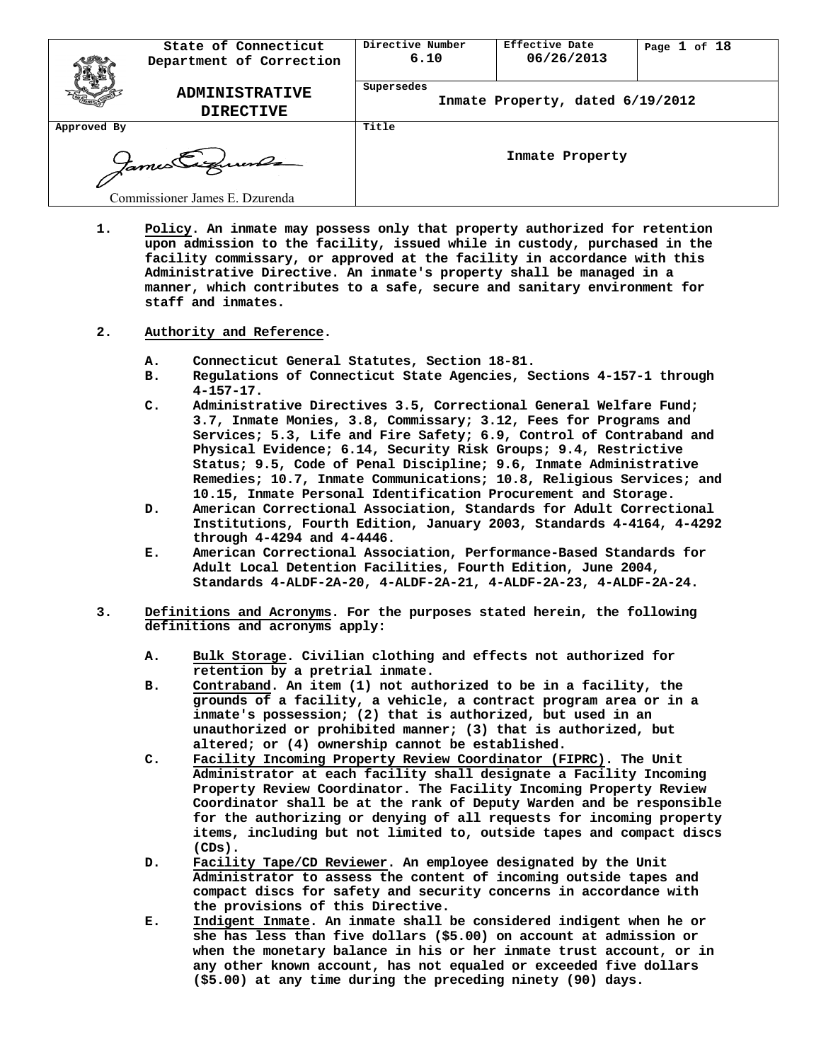|             | State of Connecticut<br>Department of Correction | Directive Number<br>6.10 | Effective Date<br>06/26/2013     | Page $1$ of $18$ |
|-------------|--------------------------------------------------|--------------------------|----------------------------------|------------------|
|             | <b>ADMINISTRATIVE</b><br><b>DIRECTIVE</b>        | Supersedes               | Inmate Property, dated 6/19/2012 |                  |
| Approved By |                                                  | Title                    |                                  |                  |
|             | James Eigenen                                    |                          | Inmate Property                  |                  |
|             | Commissioner James E. Dzurenda                   |                          |                                  |                  |

- **1. Policy. An inmate may possess only that property authorized for retention upon admission to the facility, issued while in custody, purchased in the facility commissary, or approved at the facility in accordance with this Administrative Directive. An inmate's property shall be managed in a manner, which contributes to a safe, secure and sanitary environment for staff and inmates.**
- **2. Authority and Reference.** 
	- **A. Connecticut General Statutes, Section 18-81.**
	- **B. Regulations of Connecticut State Agencies, Sections 4-157-1 through 4-157-17.**
	- **C. Administrative Directives 3.5, Correctional General Welfare Fund; 3.7, Inmate Monies, 3.8, Commissary; 3.12, Fees for Programs and Services; 5.3, Life and Fire Safety; 6.9, Control of Contraband and Physical Evidence; 6.14, Security Risk Groups; 9.4, Restrictive Status; 9.5, Code of Penal Discipline; 9.6, Inmate Administrative Remedies; 10.7, Inmate Communications; 10.8, Religious Services; and 10.15, Inmate Personal Identification Procurement and Storage.**
	- **D. American Correctional Association, Standards for Adult Correctional Institutions, Fourth Edition, January 2003, Standards 4-4164, 4-4292 through 4-4294 and 4-4446.**
	- **E. American Correctional Association, Performance-Based Standards for Adult Local Detention Facilities, Fourth Edition, June 2004, Standards 4-ALDF-2A-20, 4-ALDF-2A-21, 4-ALDF-2A-23, 4-ALDF-2A-24.**
- **3. Definitions and Acronyms. For the purposes stated herein, the following definitions and acronyms apply:** 
	- **A. Bulk Storage. Civilian clothing and effects not authorized for retention by a pretrial inmate.**
	- **B. Contraband. An item (1) not authorized to be in a facility, the grounds of a facility, a vehicle, a contract program area or in a inmate's possession; (2) that is authorized, but used in an unauthorized or prohibited manner; (3) that is authorized, but altered; or (4) ownership cannot be established.**
	- **C. Facility Incoming Property Review Coordinator (FIPRC). The Unit Administrator at each facility shall designate a Facility Incoming Property Review Coordinator. The Facility Incoming Property Review Coordinator shall be at the rank of Deputy Warden and be responsible for the authorizing or denying of all requests for incoming property items, including but not limited to, outside tapes and compact discs (CDs).**
	- **D. Facility Tape/CD Reviewer. An employee designated by the Unit Administrator to assess the content of incoming outside tapes and compact discs for safety and security concerns in accordance with the provisions of this Directive.**
	- **E. Indigent Inmate. An inmate shall be considered indigent when he or she has less than five dollars (\$5.00) on account at admission or when the monetary balance in his or her inmate trust account, or in any other known account, has not equaled or exceeded five dollars (\$5.00) at any time during the preceding ninety (90) days.**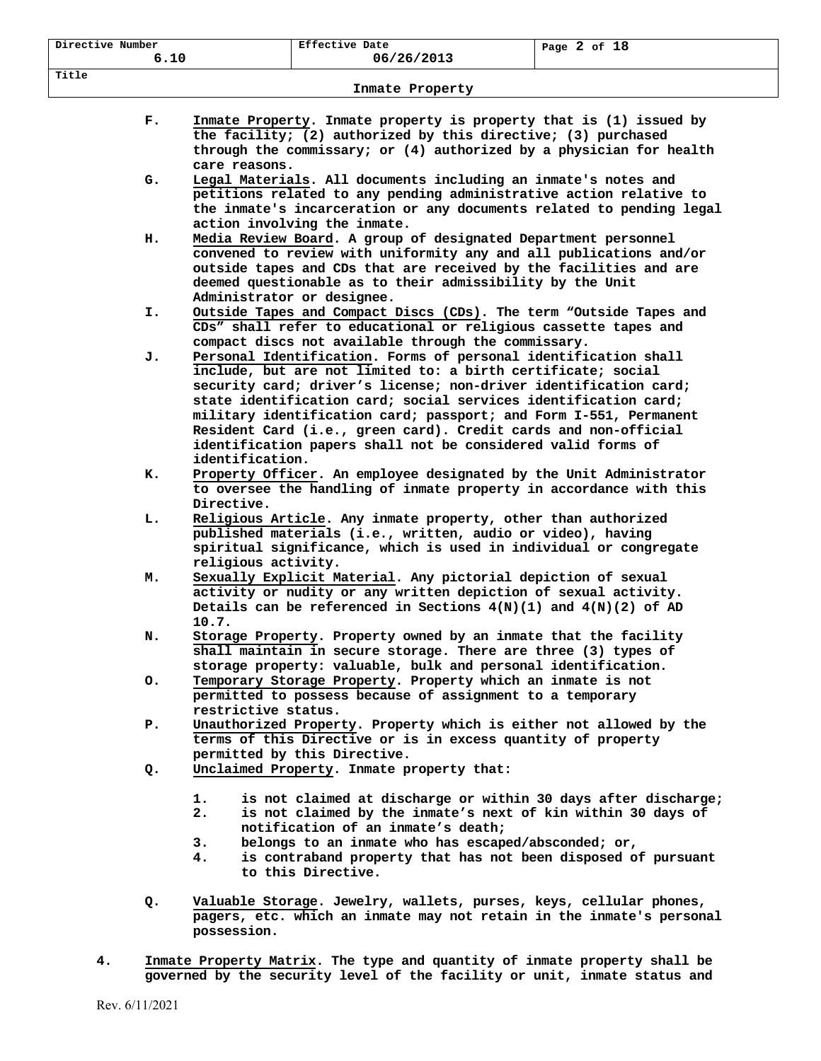| Directive Number |                                                                                                                                                                                                                                              | Effective Date                                                                                                                                                                                                                                                                                                                                                                                            |  | Page $2$ of $18$                                                                                                                                                                                |  |
|------------------|----------------------------------------------------------------------------------------------------------------------------------------------------------------------------------------------------------------------------------------------|-----------------------------------------------------------------------------------------------------------------------------------------------------------------------------------------------------------------------------------------------------------------------------------------------------------------------------------------------------------------------------------------------------------|--|-------------------------------------------------------------------------------------------------------------------------------------------------------------------------------------------------|--|
| 6.10             |                                                                                                                                                                                                                                              | 06/26/2013                                                                                                                                                                                                                                                                                                                                                                                                |  |                                                                                                                                                                                                 |  |
| Title            |                                                                                                                                                                                                                                              | Inmate Property                                                                                                                                                                                                                                                                                                                                                                                           |  |                                                                                                                                                                                                 |  |
|                  |                                                                                                                                                                                                                                              |                                                                                                                                                                                                                                                                                                                                                                                                           |  |                                                                                                                                                                                                 |  |
| $\mathbf{F}$ .   | care reasons.                                                                                                                                                                                                                                | the facility; (2) authorized by this directive; (3) purchased                                                                                                                                                                                                                                                                                                                                             |  | Inmate Property. Inmate property is property that is (1) issued by<br>through the commissary; or (4) authorized by a physician for health                                                       |  |
| G.               | Legal Materials. All documents including an inmate's notes and<br>petitions related to any pending administrative action relative to<br>the inmate's incarceration or any documents related to pending legal<br>action involving the inmate. |                                                                                                                                                                                                                                                                                                                                                                                                           |  |                                                                                                                                                                                                 |  |
| н.               |                                                                                                                                                                                                                                              | Media Review Board. A group of designated Department personnel<br>deemed questionable as to their admissibility by the Unit<br>Administrator or designee.                                                                                                                                                                                                                                                 |  | convened to review with uniformity any and all publications and/or<br>outside tapes and CDs that are received by the facilities and are                                                         |  |
| I.               |                                                                                                                                                                                                                                              | CDs" shall refer to educational or religious cassette tapes and<br>compact discs not available through the commissary.                                                                                                                                                                                                                                                                                    |  | Outside Tapes and Compact Discs (CDs). The term "Outside Tapes and                                                                                                                              |  |
| J.               | identification.                                                                                                                                                                                                                              | Personal Identification. Forms of personal identification shall<br>include, but are not limited to: a birth certificate; social<br>security card; driver's license; non-driver identification card;<br>state identification card; social services identification card;<br>Resident Card (i.e., green card). Credit cards and non-official<br>identification papers shall not be considered valid forms of |  | military identification card; passport; and Form I-551, Permanent                                                                                                                               |  |
| к.               | Directive.                                                                                                                                                                                                                                   |                                                                                                                                                                                                                                                                                                                                                                                                           |  | Property Officer. An employee designated by the Unit Administrator<br>to oversee the handling of inmate property in accordance with this                                                        |  |
| L.               | religious activity.                                                                                                                                                                                                                          | Religious Article. Any inmate property, other than authorized<br>published materials (i.e., written, audio or video), having                                                                                                                                                                                                                                                                              |  | spiritual significance, which is used in individual or congregate                                                                                                                               |  |
| м.               | 10.7.                                                                                                                                                                                                                                        | Sexually Explicit Material. Any pictorial depiction of sexual<br>activity or nudity or any written depiction of sexual activity.<br>Details can be referenced in Sections $4(N)(1)$ and $4(N)(2)$ of AD                                                                                                                                                                                                   |  |                                                                                                                                                                                                 |  |
| N.               |                                                                                                                                                                                                                                              | Storage Property. Property owned by an inmate that the facility<br>shall maintain in secure storage. There are three (3) types of<br>storage property: valuable, bulk and personal identification.                                                                                                                                                                                                        |  |                                                                                                                                                                                                 |  |
| о.               | restrictive status.                                                                                                                                                                                                                          | Temporary Storage Property. Property which an inmate is not<br>permitted to possess because of assignment to a temporary                                                                                                                                                                                                                                                                                  |  |                                                                                                                                                                                                 |  |
| Р.               |                                                                                                                                                                                                                                              | terms of this Directive or is in excess quantity of property<br>permitted by this Directive.                                                                                                                                                                                                                                                                                                              |  | Unauthorized Property. Property which is either not allowed by the                                                                                                                              |  |
| Q.               | 1.<br>2.<br>3.<br>4.                                                                                                                                                                                                                         | Unclaimed Property. Inmate property that:<br>notification of an inmate's death;<br>belongs to an inmate who has escaped/absconded; or,<br>to this Directive.                                                                                                                                                                                                                                              |  | is not claimed at discharge or within 30 days after discharge;<br>is not claimed by the inmate's next of kin within 30 days of<br>is contraband property that has not been disposed of pursuant |  |
| Q.               | possession.                                                                                                                                                                                                                                  |                                                                                                                                                                                                                                                                                                                                                                                                           |  | Valuable Storage. Jewelry, wallets, purses, keys, cellular phones,<br>pagers, etc. which an inmate may not retain in the inmate's personal                                                      |  |
| 4.               |                                                                                                                                                                                                                                              |                                                                                                                                                                                                                                                                                                                                                                                                           |  | Inmate Property Matrix. The type and quantity of inmate property shall be<br>governed by the security level of the facility or unit, inmate status and                                          |  |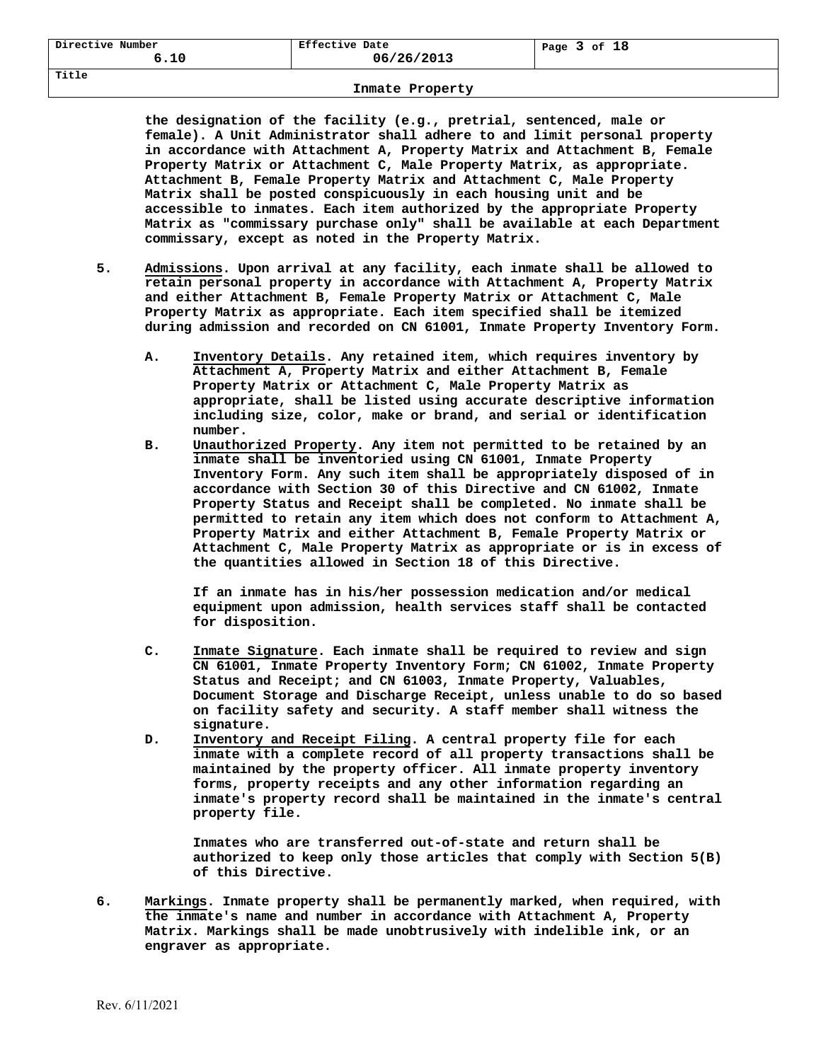| Directive Number | Effective Date | 3 of 18<br>Page |
|------------------|----------------|-----------------|
| 6.10             | 06/26/2013     |                 |

**the designation of the facility (e.g., pretrial, sentenced, male or female). A Unit Administrator shall adhere to and limit personal property in accordance with Attachment A, Property Matrix and Attachment B, Female Property Matrix or Attachment C, Male Property Matrix, as appropriate. Attachment B, Female Property Matrix and Attachment C, Male Property Matrix shall be posted conspicuously in each housing unit and be accessible to inmates. Each item authorized by the appropriate Property Matrix as "commissary purchase only" shall be available at each Department commissary, except as noted in the Property Matrix.** 

- **5. Admissions. Upon arrival at any facility, each inmate shall be allowed to retain personal property in accordance with Attachment A, Property Matrix and either Attachment B, Female Property Matrix or Attachment C, Male Property Matrix as appropriate. Each item specified shall be itemized during admission and recorded on CN 61001, Inmate Property Inventory Form.** 
	- **A. Inventory Details. Any retained item, which requires inventory by Attachment A, Property Matrix and either Attachment B, Female Property Matrix or Attachment C, Male Property Matrix as appropriate, shall be listed using accurate descriptive information including size, color, make or brand, and serial or identification number.**
	- **B. Unauthorized Property. Any item not permitted to be retained by an inmate shall be inventoried using CN 61001, Inmate Property Inventory Form. Any such item shall be appropriately disposed of in accordance with Section 30 of this Directive and CN 61002, Inmate Property Status and Receipt shall be completed. No inmate shall be permitted to retain any item which does not conform to Attachment A, Property Matrix and either Attachment B, Female Property Matrix or Attachment C, Male Property Matrix as appropriate or is in excess of the quantities allowed in Section 18 of this Directive.**

**If an inmate has in his/her possession medication and/or medical equipment upon admission, health services staff shall be contacted for disposition.** 

- **C. Inmate Signature. Each inmate shall be required to review and sign CN 61001, Inmate Property Inventory Form; CN 61002, Inmate Property Status and Receipt; and CN 61003, Inmate Property, Valuables, Document Storage and Discharge Receipt, unless unable to do so based on facility safety and security. A staff member shall witness the signature.**
- **D. Inventory and Receipt Filing. A central property file for each inmate with a complete record of all property transactions shall be maintained by the property officer. All inmate property inventory forms, property receipts and any other information regarding an inmate's property record shall be maintained in the inmate's central property file.**

**Inmates who are transferred out-of-state and return shall be authorized to keep only those articles that comply with Section 5(B) of this Directive.** 

**6. Markings. Inmate property shall be permanently marked, when required, with the inmate's name and number in accordance with Attachment A, Property Matrix. Markings shall be made unobtrusively with indelible ink, or an engraver as appropriate.** 

**Title**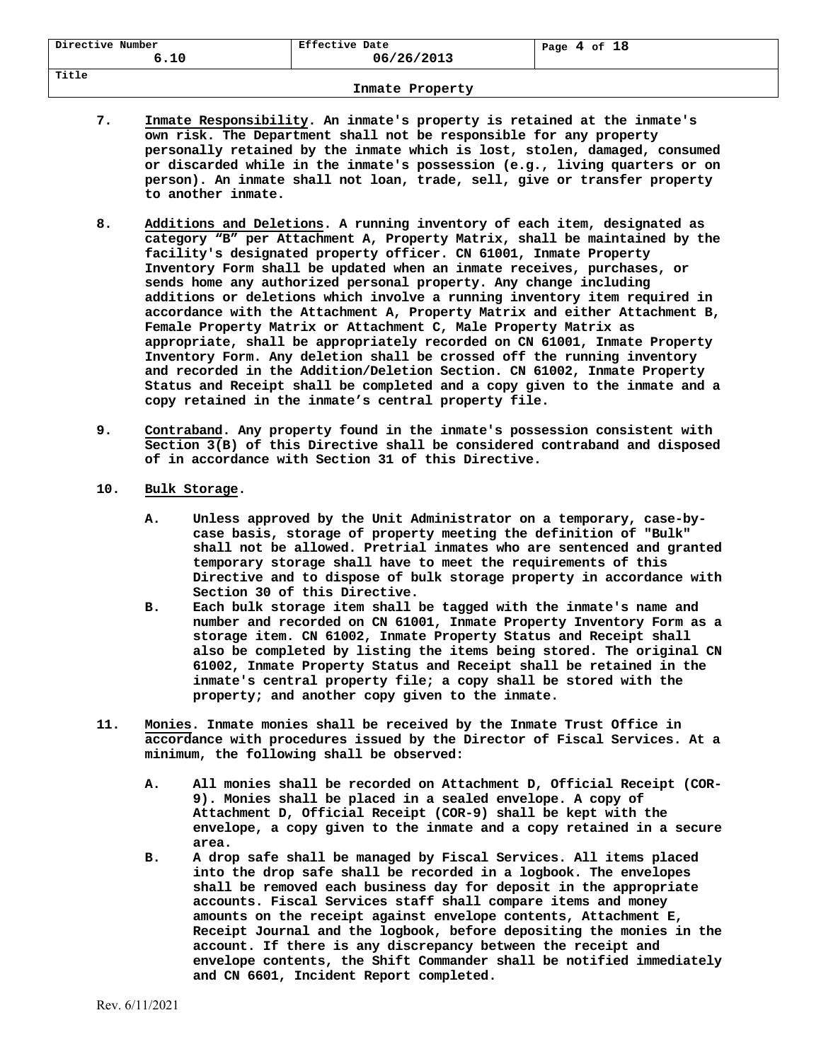| Directive Number | Effective Date | 4 of 18 |
|------------------|----------------|---------|
| 6.10             | 06/26/2013     | Page    |
| Title            |                |         |

- **7. Inmate Responsibility. An inmate's property is retained at the inmate's own risk. The Department shall not be responsible for any property personally retained by the inmate which is lost, stolen, damaged, consumed or discarded while in the inmate's possession (e.g., living quarters or on person). An inmate shall not loan, trade, sell, give or transfer property to another inmate.**
- **8. Additions and Deletions. A running inventory of each item, designated as category "B" per Attachment A, Property Matrix, shall be maintained by the facility's designated property officer. CN 61001, Inmate Property Inventory Form shall be updated when an inmate receives, purchases, or sends home any authorized personal property. Any change including additions or deletions which involve a running inventory item required in accordance with the Attachment A, Property Matrix and either Attachment B, Female Property Matrix or Attachment C, Male Property Matrix as appropriate, shall be appropriately recorded on CN 61001, Inmate Property Inventory Form. Any deletion shall be crossed off the running inventory and recorded in the Addition/Deletion Section. CN 61002, Inmate Property Status and Receipt shall be completed and a copy given to the inmate and a copy retained in the inmate's central property file.**
- **9. Contraband. Any property found in the inmate's possession consistent with Section 3(B) of this Directive shall be considered contraband and disposed of in accordance with Section 31 of this Directive.**
- **10. Bulk Storage.** 
	- **A. Unless approved by the Unit Administrator on a temporary, case-bycase basis, storage of property meeting the definition of "Bulk" shall not be allowed. Pretrial inmates who are sentenced and granted temporary storage shall have to meet the requirements of this Directive and to dispose of bulk storage property in accordance with Section 30 of this Directive.**
	- **B. Each bulk storage item shall be tagged with the inmate's name and number and recorded on CN 61001, Inmate Property Inventory Form as a storage item. CN 61002, Inmate Property Status and Receipt shall also be completed by listing the items being stored. The original CN 61002, Inmate Property Status and Receipt shall be retained in the inmate's central property file; a copy shall be stored with the property; and another copy given to the inmate.**
- **11. Monies. Inmate monies shall be received by the Inmate Trust Office in accordance with procedures issued by the Director of Fiscal Services. At a minimum, the following shall be observed:** 
	- **A. All monies shall be recorded on Attachment D, Official Receipt (COR-9). Monies shall be placed in a sealed envelope. A copy of Attachment D, Official Receipt (COR-9) shall be kept with the envelope, a copy given to the inmate and a copy retained in a secure area.**
	- **B. A drop safe shall be managed by Fiscal Services. All items placed into the drop safe shall be recorded in a logbook. The envelopes shall be removed each business day for deposit in the appropriate accounts. Fiscal Services staff shall compare items and money amounts on the receipt against envelope contents, Attachment E, Receipt Journal and the logbook, before depositing the monies in the account. If there is any discrepancy between the receipt and envelope contents, the Shift Commander shall be notified immediately and CN 6601, Incident Report completed.**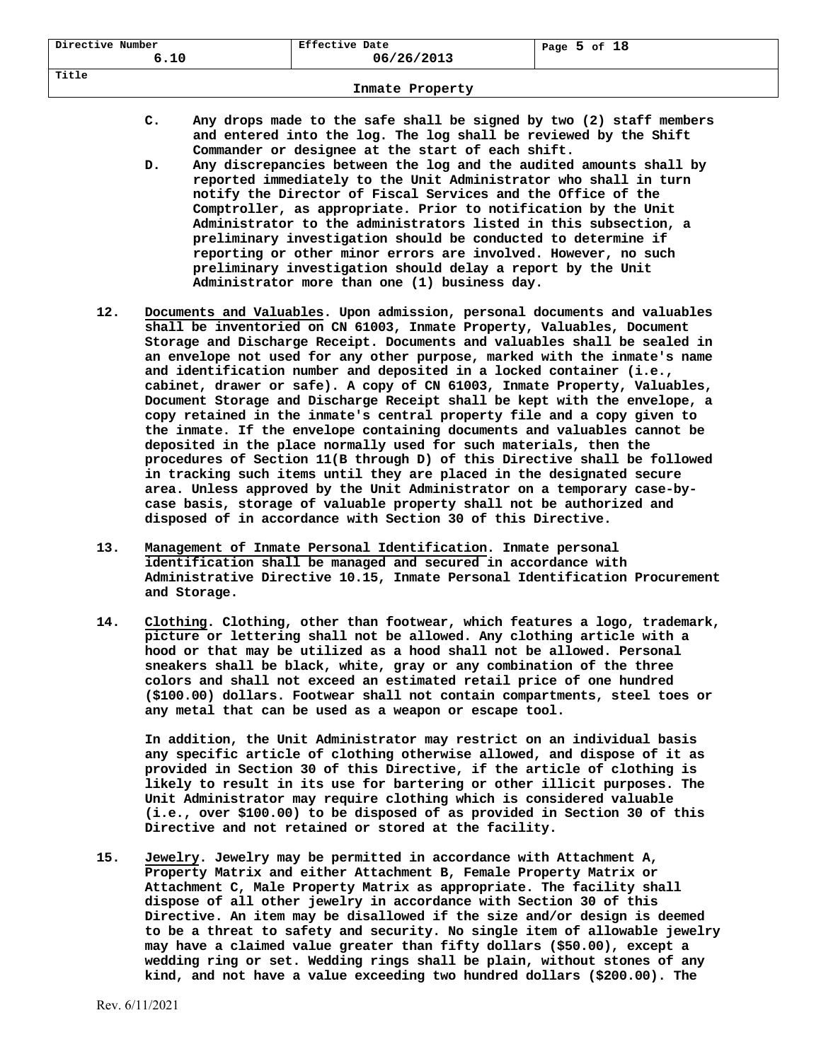| Directive Number<br>6.10 | Effective Date<br>06/26/2013 | Page $5$ of $18$ |
|--------------------------|------------------------------|------------------|
| Title                    |                              |                  |

- **C. Any drops made to the safe shall be signed by two (2) staff members and entered into the log. The log shall be reviewed by the Shift Commander or designee at the start of each shift.**
- **D. Any discrepancies between the log and the audited amounts shall by reported immediately to the Unit Administrator who shall in turn notify the Director of Fiscal Services and the Office of the Comptroller, as appropriate. Prior to notification by the Unit Administrator to the administrators listed in this subsection, a preliminary investigation should be conducted to determine if reporting or other minor errors are involved. However, no such preliminary investigation should delay a report by the Unit Administrator more than one (1) business day.**
- **12. Documents and Valuables. Upon admission, personal documents and valuables shall be inventoried on CN 61003, Inmate Property, Valuables, Document Storage and Discharge Receipt. Documents and valuables shall be sealed in an envelope not used for any other purpose, marked with the inmate's name and identification number and deposited in a locked container (i.e., cabinet, drawer or safe). A copy of CN 61003, Inmate Property, Valuables, Document Storage and Discharge Receipt shall be kept with the envelope, a copy retained in the inmate's central property file and a copy given to the inmate. If the envelope containing documents and valuables cannot be deposited in the place normally used for such materials, then the procedures of Section 11(B through D) of this Directive shall be followed in tracking such items until they are placed in the designated secure area. Unless approved by the Unit Administrator on a temporary case-bycase basis, storage of valuable property shall not be authorized and disposed of in accordance with Section 30 of this Directive.**
- **13. Management of Inmate Personal Identification. Inmate personal identification shall be managed and secured in accordance with Administrative Directive 10.15, Inmate Personal Identification Procurement and Storage.**
- **14. Clothing. Clothing, other than footwear, which features a logo, trademark, picture or lettering shall not be allowed. Any clothing article with a hood or that may be utilized as a hood shall not be allowed. Personal sneakers shall be black, white, gray or any combination of the three colors and shall not exceed an estimated retail price of one hundred (\$100.00) dollars. Footwear shall not contain compartments, steel toes or any metal that can be used as a weapon or escape tool.**

**In addition, the Unit Administrator may restrict on an individual basis any specific article of clothing otherwise allowed, and dispose of it as provided in Section 30 of this Directive, if the article of clothing is likely to result in its use for bartering or other illicit purposes. The Unit Administrator may require clothing which is considered valuable (i.e., over \$100.00) to be disposed of as provided in Section 30 of this Directive and not retained or stored at the facility.** 

**15. Jewelry. Jewelry may be permitted in accordance with Attachment A, Property Matrix and either Attachment B, Female Property Matrix or Attachment C, Male Property Matrix as appropriate. The facility shall dispose of all other jewelry in accordance with Section 30 of this Directive. An item may be disallowed if the size and/or design is deemed to be a threat to safety and security. No single item of allowable jewelry may have a claimed value greater than fifty dollars (\$50.00), except a wedding ring or set. Wedding rings shall be plain, without stones of any kind, and not have a value exceeding two hundred dollars (\$200.00). The**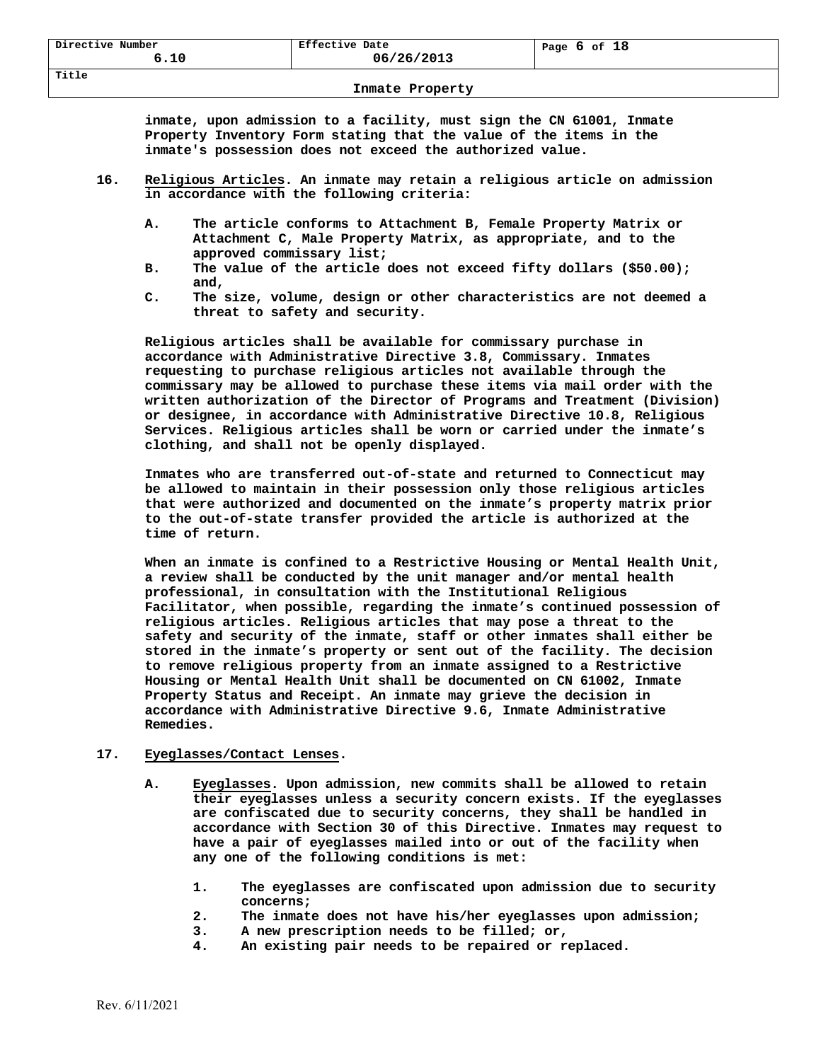**inmate, upon admission to a facility, must sign the CN 61001, Inmate Property Inventory Form stating that the value of the items in the inmate's possession does not exceed the authorized value.** 

- **16. Religious Articles. An inmate may retain a religious article on admission in accordance with the following criteria:** 
	- **A. The article conforms to Attachment B, Female Property Matrix or Attachment C, Male Property Matrix, as appropriate, and to the approved commissary list;**
	- **B. The value of the article does not exceed fifty dollars (\$50.00); and,**
	- **C. The size, volume, design or other characteristics are not deemed a threat to safety and security.**

**Religious articles shall be available for commissary purchase in accordance with Administrative Directive 3.8, Commissary. Inmates requesting to purchase religious articles not available through the commissary may be allowed to purchase these items via mail order with the written authorization of the Director of Programs and Treatment (Division) or designee, in accordance with Administrative Directive 10.8, Religious Services. Religious articles shall be worn or carried under the inmate's clothing, and shall not be openly displayed.** 

**Inmates who are transferred out-of-state and returned to Connecticut may be allowed to maintain in their possession only those religious articles that were authorized and documented on the inmate's property matrix prior to the out-of-state transfer provided the article is authorized at the time of return.** 

 **When an inmate is confined to a Restrictive Housing or Mental Health Unit, a review shall be conducted by the unit manager and/or mental health professional, in consultation with the Institutional Religious Facilitator, when possible, regarding the inmate's continued possession of religious articles. Religious articles that may pose a threat to the safety and security of the inmate, staff or other inmates shall either be stored in the inmate's property or sent out of the facility. The decision to remove religious property from an inmate assigned to a Restrictive Housing or Mental Health Unit shall be documented on CN 61002, Inmate Property Status and Receipt. An inmate may grieve the decision in accordance with Administrative Directive 9.6, Inmate Administrative Remedies.** 

### **17. Eyeglasses/Contact Lenses.**

- **A. Eyeglasses. Upon admission, new commits shall be allowed to retain their eyeglasses unless a security concern exists. If the eyeglasses are confiscated due to security concerns, they shall be handled in accordance with Section 30 of this Directive. Inmates may request to have a pair of eyeglasses mailed into or out of the facility when any one of the following conditions is met:** 
	- **1. The eyeglasses are confiscated upon admission due to security concerns;**
	- **2. The inmate does not have his/her eyeglasses upon admission;**
	- **3. A new prescription needs to be filled; or,**
	- **4. An existing pair needs to be repaired or replaced.**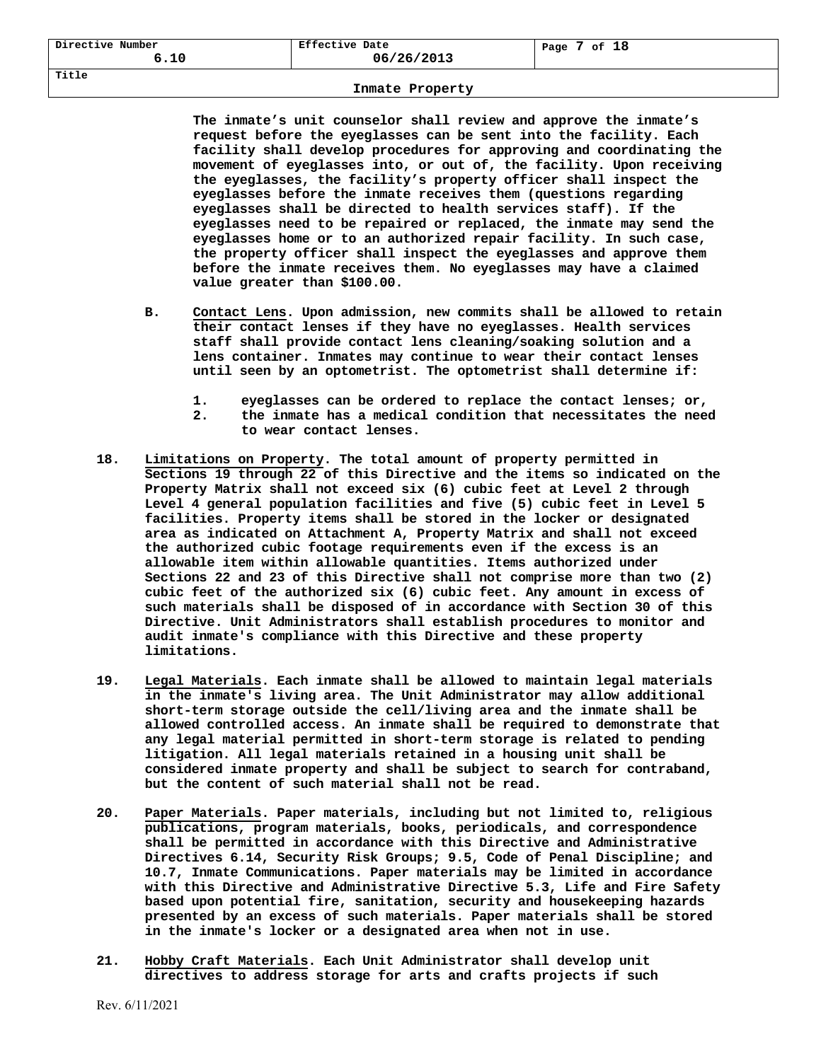| Directive<br>Number<br>∪ - ⊥ ∪ | Effective Date<br>06/26/2013 | 18<br>оf<br>Page |
|--------------------------------|------------------------------|------------------|
| Title                          |                              |                  |

**The inmate's unit counselor shall review and approve the inmate's request before the eyeglasses can be sent into the facility. Each facility shall develop procedures for approving and coordinating the movement of eyeglasses into, or out of, the facility. Upon receiving the eyeglasses, the facility's property officer shall inspect the eyeglasses before the inmate receives them (questions regarding eyeglasses shall be directed to health services staff). If the eyeglasses need to be repaired or replaced, the inmate may send the eyeglasses home or to an authorized repair facility. In such case, the property officer shall inspect the eyeglasses and approve them before the inmate receives them. No eyeglasses may have a claimed value greater than \$100.00.** 

- **B. Contact Lens. Upon admission, new commits shall be allowed to retain their contact lenses if they have no eyeglasses. Health services staff shall provide contact lens cleaning/soaking solution and a lens container. Inmates may continue to wear their contact lenses until seen by an optometrist. The optometrist shall determine if:** 
	- **1. eyeglasses can be ordered to replace the contact lenses; or, 2. the inmate has a medical condition that necessitates the need**
	- **to wear contact lenses.**
- **18. Limitations on Property. The total amount of property permitted in Sections 19 through 22 of this Directive and the items so indicated on the Property Matrix shall not exceed six (6) cubic feet at Level 2 through Level 4 general population facilities and five (5) cubic feet in Level 5 facilities. Property items shall be stored in the locker or designated area as indicated on Attachment A, Property Matrix and shall not exceed the authorized cubic footage requirements even if the excess is an allowable item within allowable quantities. Items authorized under Sections 22 and 23 of this Directive shall not comprise more than two (2) cubic feet of the authorized six (6) cubic feet. Any amount in excess of such materials shall be disposed of in accordance with Section 30 of this Directive. Unit Administrators shall establish procedures to monitor and audit inmate's compliance with this Directive and these property limitations.**
- **19. Legal Materials. Each inmate shall be allowed to maintain legal materials in the inmate's living area. The Unit Administrator may allow additional short-term storage outside the cell/living area and the inmate shall be allowed controlled access. An inmate shall be required to demonstrate that any legal material permitted in short-term storage is related to pending litigation. All legal materials retained in a housing unit shall be considered inmate property and shall be subject to search for contraband, but the content of such material shall not be read.**
- **20. Paper Materials. Paper materials, including but not limited to, religious publications, program materials, books, periodicals, and correspondence shall be permitted in accordance with this Directive and Administrative Directives 6.14, Security Risk Groups; 9.5, Code of Penal Discipline; and 10.7, Inmate Communications. Paper materials may be limited in accordance with this Directive and Administrative Directive 5.3, Life and Fire Safety based upon potential fire, sanitation, security and housekeeping hazards presented by an excess of such materials. Paper materials shall be stored in the inmate's locker or a designated area when not in use.**
- **21. Hobby Craft Materials. Each Unit Administrator shall develop unit directives to address storage for arts and crafts projects if such**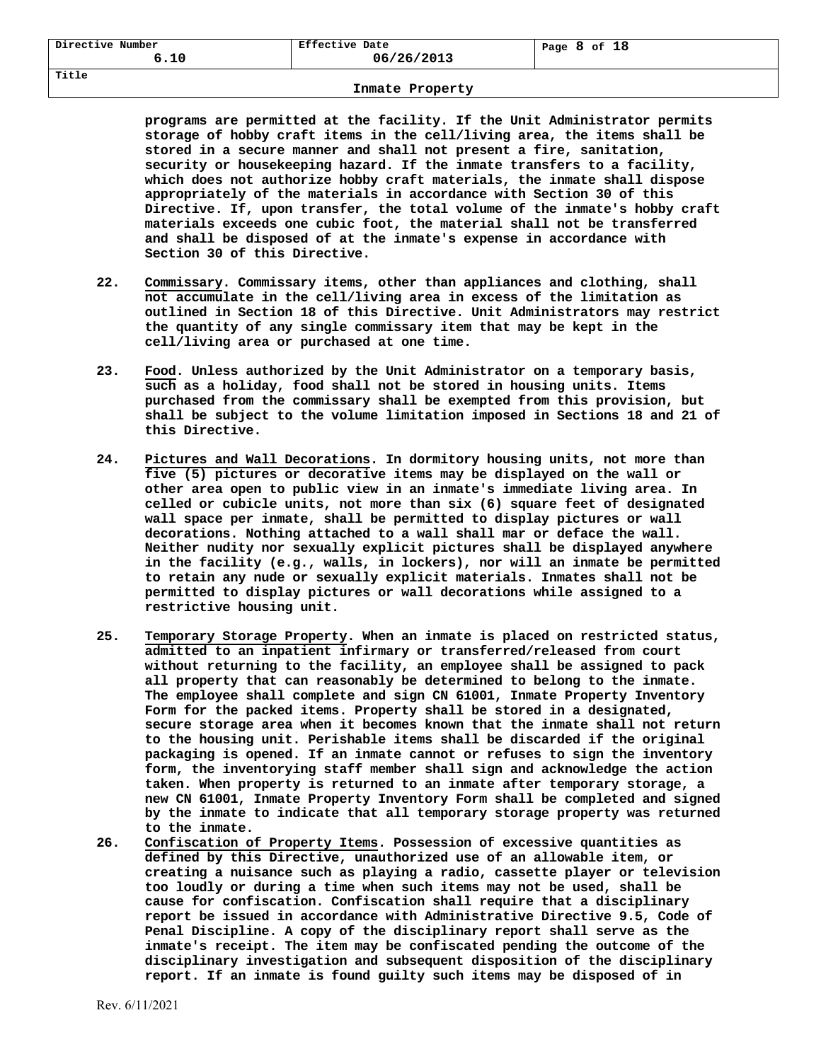| Directive Number<br>6.10 | Effective Date<br>06/26/2013 | 18<br>of<br>Page<br> |
|--------------------------|------------------------------|----------------------|
| Title                    |                              |                      |

**programs are permitted at the facility. If the Unit Administrator permits storage of hobby craft items in the cell/living area, the items shall be stored in a secure manner and shall not present a fire, sanitation, security or housekeeping hazard. If the inmate transfers to a facility, which does not authorize hobby craft materials, the inmate shall dispose appropriately of the materials in accordance with Section 30 of this Directive. If, upon transfer, the total volume of the inmate's hobby craft materials exceeds one cubic foot, the material shall not be transferred and shall be disposed of at the inmate's expense in accordance with Section 30 of this Directive.** 

- **22. Commissary. Commissary items, other than appliances and clothing, shall not accumulate in the cell/living area in excess of the limitation as outlined in Section 18 of this Directive. Unit Administrators may restrict the quantity of any single commissary item that may be kept in the cell/living area or purchased at one time.**
- **23. Food. Unless authorized by the Unit Administrator on a temporary basis, such as a holiday, food shall not be stored in housing units. Items purchased from the commissary shall be exempted from this provision, but shall be subject to the volume limitation imposed in Sections 18 and 21 of this Directive.**
- **24. Pictures and Wall Decorations. In dormitory housing units, not more than five (5) pictures or decorative items may be displayed on the wall or other area open to public view in an inmate's immediate living area. In celled or cubicle units, not more than six (6) square feet of designated wall space per inmate, shall be permitted to display pictures or wall decorations. Nothing attached to a wall shall mar or deface the wall. Neither nudity nor sexually explicit pictures shall be displayed anywhere in the facility (e.g., walls, in lockers), nor will an inmate be permitted to retain any nude or sexually explicit materials. Inmates shall not be permitted to display pictures or wall decorations while assigned to a restrictive housing unit.**
- **25. Temporary Storage Property. When an inmate is placed on restricted status, admitted to an inpatient infirmary or transferred/released from court without returning to the facility, an employee shall be assigned to pack all property that can reasonably be determined to belong to the inmate. The employee shall complete and sign CN 61001, Inmate Property Inventory Form for the packed items. Property shall be stored in a designated, secure storage area when it becomes known that the inmate shall not return to the housing unit. Perishable items shall be discarded if the original packaging is opened. If an inmate cannot or refuses to sign the inventory form, the inventorying staff member shall sign and acknowledge the action taken. When property is returned to an inmate after temporary storage, a new CN 61001, Inmate Property Inventory Form shall be completed and signed by the inmate to indicate that all temporary storage property was returned to the inmate.**
- **26. Confiscation of Property Items. Possession of excessive quantities as defined by this Directive, unauthorized use of an allowable item, or creating a nuisance such as playing a radio, cassette player or television too loudly or during a time when such items may not be used, shall be cause for confiscation. Confiscation shall require that a disciplinary report be issued in accordance with Administrative Directive 9.5, Code of Penal Discipline. A copy of the disciplinary report shall serve as the inmate's receipt. The item may be confiscated pending the outcome of the disciplinary investigation and subsequent disposition of the disciplinary report. If an inmate is found guilty such items may be disposed of in**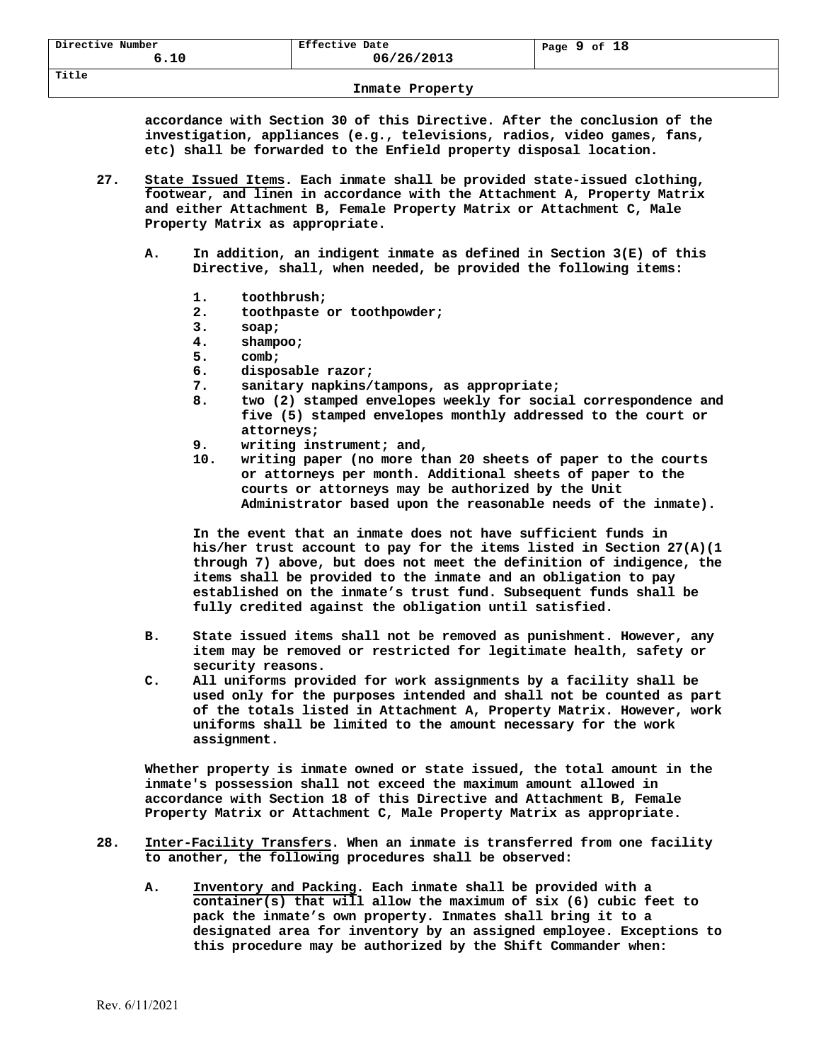**accordance with Section 30 of this Directive. After the conclusion of the investigation, appliances (e.g., televisions, radios, video games, fans, etc) shall be forwarded to the Enfield property disposal location.** 

- **27. State Issued Items. Each inmate shall be provided state-issued clothing, footwear, and linen in accordance with the Attachment A, Property Matrix and either Attachment B, Female Property Matrix or Attachment C, Male Property Matrix as appropriate.** 
	- **A. In addition, an indigent inmate as defined in Section 3(E) of this Directive, shall, when needed, be provided the following items:** 
		- **1. toothbrush;**
		- **2. toothpaste or toothpowder;**
		- **3. soap;**
		- **4. shampoo;**
		- **5. comb;**
		- **6. disposable razor;**
		- **7. sanitary napkins/tampons, as appropriate;**
		- **8. two (2) stamped envelopes weekly for social correspondence and five (5) stamped envelopes monthly addressed to the court or attorneys;**
		- **9. writing instrument; and,**
		- **10. writing paper (no more than 20 sheets of paper to the courts or attorneys per month. Additional sheets of paper to the courts or attorneys may be authorized by the Unit Administrator based upon the reasonable needs of the inmate).**

**In the event that an inmate does not have sufficient funds in his/her trust account to pay for the items listed in Section 27(A)(1 through 7) above, but does not meet the definition of indigence, the items shall be provided to the inmate and an obligation to pay established on the inmate's trust fund. Subsequent funds shall be fully credited against the obligation until satisfied.** 

- **B. State issued items shall not be removed as punishment. However, any item may be removed or restricted for legitimate health, safety or security reasons.**
- **C. All uniforms provided for work assignments by a facility shall be used only for the purposes intended and shall not be counted as part of the totals listed in Attachment A, Property Matrix. However, work uniforms shall be limited to the amount necessary for the work assignment.**

**Whether property is inmate owned or state issued, the total amount in the inmate's possession shall not exceed the maximum amount allowed in accordance with Section 18 of this Directive and Attachment B, Female Property Matrix or Attachment C, Male Property Matrix as appropriate.** 

- **28. Inter-Facility Transfers. When an inmate is transferred from one facility to another, the following procedures shall be observed:** 
	- **A. Inventory and Packing. Each inmate shall be provided with a container(s) that will allow the maximum of six (6) cubic feet to pack the inmate's own property. Inmates shall bring it to a designated area for inventory by an assigned employee. Exceptions to this procedure may be authorized by the Shift Commander when:**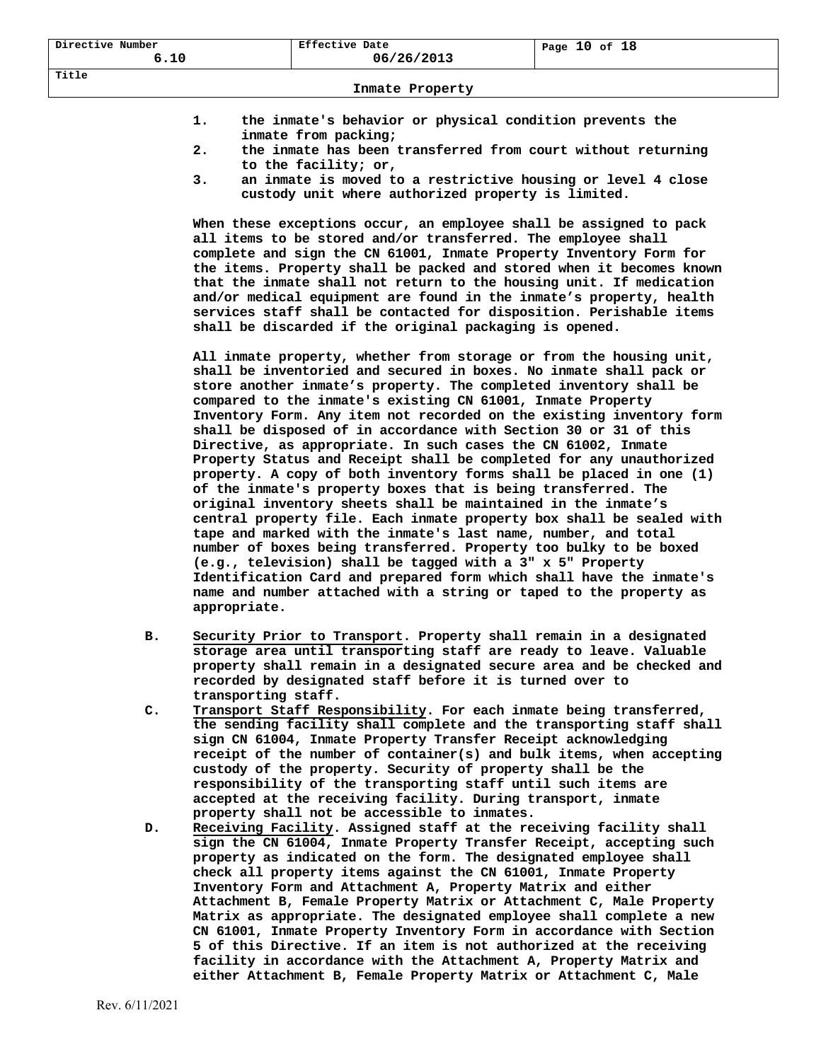**Title** 

## **1. the inmate's behavior or physical condition prevents the inmate from packing;**

- **2. the inmate has been transferred from court without returning to the facility; or,**
- **3. an inmate is moved to a restrictive housing or level 4 close custody unit where authorized property is limited.**

**When these exceptions occur, an employee shall be assigned to pack all items to be stored and/or transferred. The employee shall complete and sign the CN 61001, Inmate Property Inventory Form for the items. Property shall be packed and stored when it becomes known that the inmate shall not return to the housing unit. If medication and/or medical equipment are found in the inmate's property, health services staff shall be contacted for disposition. Perishable items shall be discarded if the original packaging is opened.** 

 **All inmate property, whether from storage or from the housing unit, shall be inventoried and secured in boxes. No inmate shall pack or store another inmate's property. The completed inventory shall be compared to the inmate's existing CN 61001, Inmate Property Inventory Form. Any item not recorded on the existing inventory form shall be disposed of in accordance with Section 30 or 31 of this Directive, as appropriate. In such cases the CN 61002, Inmate Property Status and Receipt shall be completed for any unauthorized property. A copy of both inventory forms shall be placed in one (1) of the inmate's property boxes that is being transferred. The original inventory sheets shall be maintained in the inmate's central property file. Each inmate property box shall be sealed with tape and marked with the inmate's last name, number, and total number of boxes being transferred. Property too bulky to be boxed (e.g., television) shall be tagged with a 3" x 5" Property Identification Card and prepared form which shall have the inmate's name and number attached with a string or taped to the property as appropriate.** 

- **B. Security Prior to Transport. Property shall remain in a designated storage area until transporting staff are ready to leave. Valuable property shall remain in a designated secure area and be checked and recorded by designated staff before it is turned over to transporting staff.**
- **C. Transport Staff Responsibility. For each inmate being transferred, the sending facility shall complete and the transporting staff shall sign CN 61004, Inmate Property Transfer Receipt acknowledging receipt of the number of container(s) and bulk items, when accepting custody of the property. Security of property shall be the responsibility of the transporting staff until such items are accepted at the receiving facility. During transport, inmate property shall not be accessible to inmates.**
- **D. Receiving Facility. Assigned staff at the receiving facility shall sign the CN 61004, Inmate Property Transfer Receipt, accepting such property as indicated on the form. The designated employee shall check all property items against the CN 61001, Inmate Property Inventory Form and Attachment A, Property Matrix and either Attachment B, Female Property Matrix or Attachment C, Male Property Matrix as appropriate. The designated employee shall complete a new CN 61001, Inmate Property Inventory Form in accordance with Section 5 of this Directive. If an item is not authorized at the receiving facility in accordance with the Attachment A, Property Matrix and either Attachment B, Female Property Matrix or Attachment C, Male**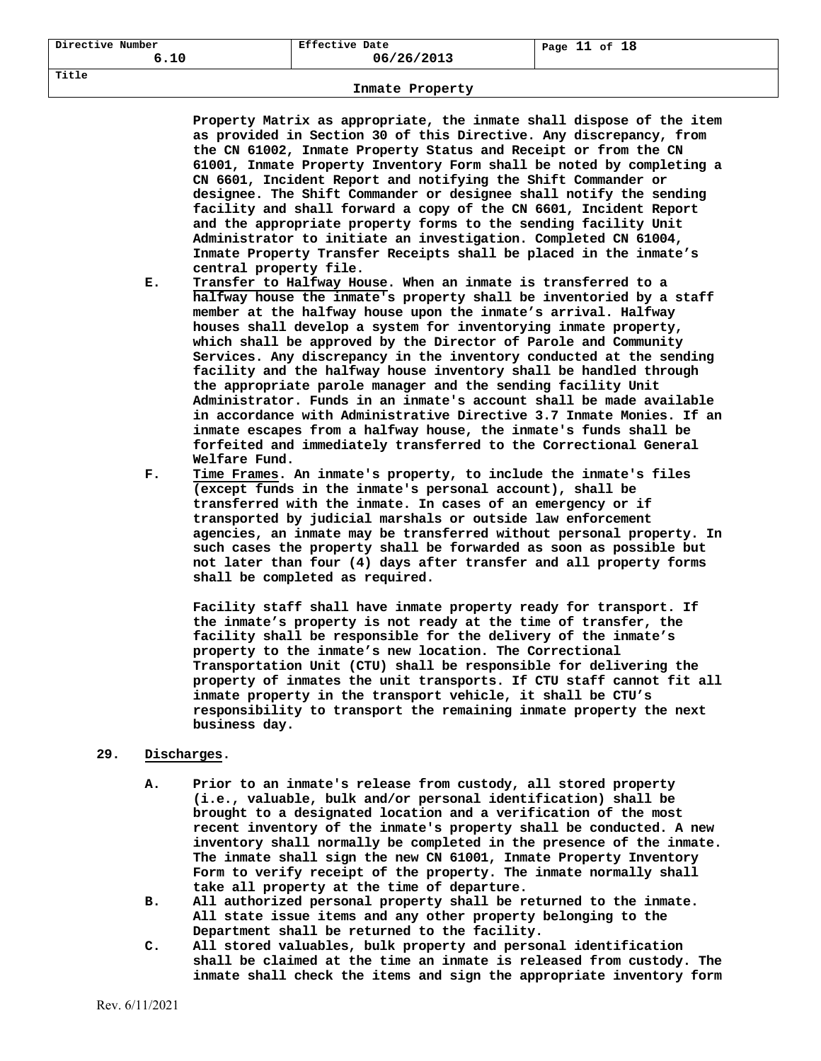**Title** 

# **Inmate Property**

**Property Matrix as appropriate, the inmate shall dispose of the item as provided in Section 30 of this Directive. Any discrepancy, from the CN 61002, Inmate Property Status and Receipt or from the CN 61001, Inmate Property Inventory Form shall be noted by completing a CN 6601, Incident Report and notifying the Shift Commander or designee. The Shift Commander or designee shall notify the sending facility and shall forward a copy of the CN 6601, Incident Report and the appropriate property forms to the sending facility Unit Administrator to initiate an investigation. Completed CN 61004, Inmate Property Transfer Receipts shall be placed in the inmate's central property file.** 

- **E. Transfer to Halfway House. When an inmate is transferred to a halfway house the inmate's property shall be inventoried by a staff member at the halfway house upon the inmate's arrival. Halfway houses shall develop a system for inventorying inmate property, which shall be approved by the Director of Parole and Community Services. Any discrepancy in the inventory conducted at the sending facility and the halfway house inventory shall be handled through the appropriate parole manager and the sending facility Unit Administrator. Funds in an inmate's account shall be made available in accordance with Administrative Directive 3.7 Inmate Monies. If an inmate escapes from a halfway house, the inmate's funds shall be forfeited and immediately transferred to the Correctional General Welfare Fund.**
- **F. Time Frames. An inmate's property, to include the inmate's files (except funds in the inmate's personal account), shall be transferred with the inmate. In cases of an emergency or if transported by judicial marshals or outside law enforcement agencies, an inmate may be transferred without personal property. In such cases the property shall be forwarded as soon as possible but not later than four (4) days after transfer and all property forms shall be completed as required.**

 **Facility staff shall have inmate property ready for transport. If the inmate's property is not ready at the time of transfer, the facility shall be responsible for the delivery of the inmate's property to the inmate's new location. The Correctional Transportation Unit (CTU) shall be responsible for delivering the property of inmates the unit transports. If CTU staff cannot fit all inmate property in the transport vehicle, it shall be CTU's responsibility to transport the remaining inmate property the next business day.** 

# **29. Discharges.**

- **A. Prior to an inmate's release from custody, all stored property (i.e., valuable, bulk and/or personal identification) shall be brought to a designated location and a verification of the most recent inventory of the inmate's property shall be conducted. A new inventory shall normally be completed in the presence of the inmate. The inmate shall sign the new CN 61001, Inmate Property Inventory Form to verify receipt of the property. The inmate normally shall take all property at the time of departure.**
- **B. All authorized personal property shall be returned to the inmate. All state issue items and any other property belonging to the Department shall be returned to the facility.**
- **C. All stored valuables, bulk property and personal identification shall be claimed at the time an inmate is released from custody. The inmate shall check the items and sign the appropriate inventory form**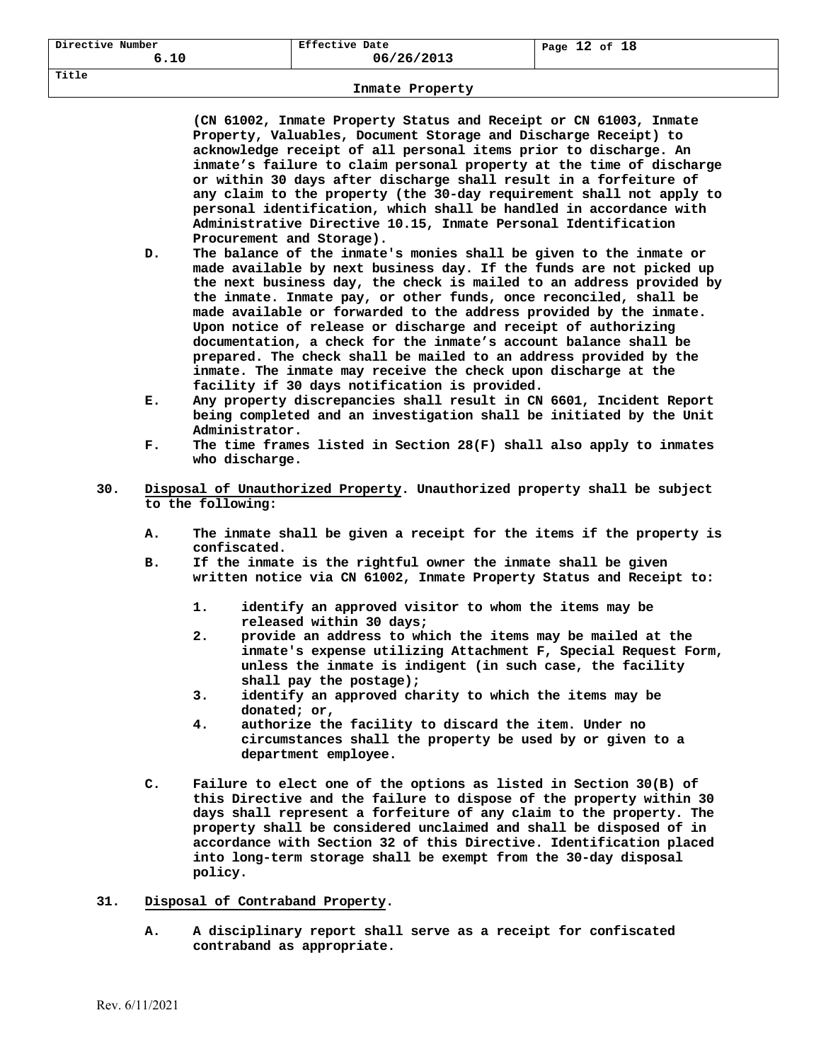**(CN 61002, Inmate Property Status and Receipt or CN 61003, Inmate Property, Valuables, Document Storage and Discharge Receipt) to acknowledge receipt of all personal items prior to discharge. An inmate's failure to claim personal property at the time of discharge or within 30 days after discharge shall result in a forfeiture of any claim to the property (the 30-day requirement shall not apply to personal identification, which shall be handled in accordance with Administrative Directive 10.15, Inmate Personal Identification Procurement and Storage).** 

- **D. The balance of the inmate's monies shall be given to the inmate or made available by next business day. If the funds are not picked up the next business day, the check is mailed to an address provided by the inmate. Inmate pay, or other funds, once reconciled, shall be made available or forwarded to the address provided by the inmate. Upon notice of release or discharge and receipt of authorizing documentation, a check for the inmate's account balance shall be prepared. The check shall be mailed to an address provided by the inmate. The inmate may receive the check upon discharge at the facility if 30 days notification is provided.**
- **E. Any property discrepancies shall result in CN 6601, Incident Report being completed and an investigation shall be initiated by the Unit Administrator.**
- **F. The time frames listed in Section 28(F) shall also apply to inmates who discharge.**
- **30. Disposal of Unauthorized Property. Unauthorized property shall be subject to the following:** 
	- **A. The inmate shall be given a receipt for the items if the property is confiscated.**
	- **B. If the inmate is the rightful owner the inmate shall be given written notice via CN 61002, Inmate Property Status and Receipt to:** 
		- **1. identify an approved visitor to whom the items may be released within 30 days;**
		- **2. provide an address to which the items may be mailed at the inmate's expense utilizing Attachment F, Special Request Form, unless the inmate is indigent (in such case, the facility shall pay the postage);**
		- **3. identify an approved charity to which the items may be donated; or,**
		- **4. authorize the facility to discard the item. Under no circumstances shall the property be used by or given to a department employee.**
	- **C. Failure to elect one of the options as listed in Section 30(B) of this Directive and the failure to dispose of the property within 30 days shall represent a forfeiture of any claim to the property. The property shall be considered unclaimed and shall be disposed of in accordance with Section 32 of this Directive. Identification placed into long-term storage shall be exempt from the 30-day disposal policy.**

## **31. Disposal of Contraband Property.**

**A. A disciplinary report shall serve as a receipt for confiscated contraband as appropriate.**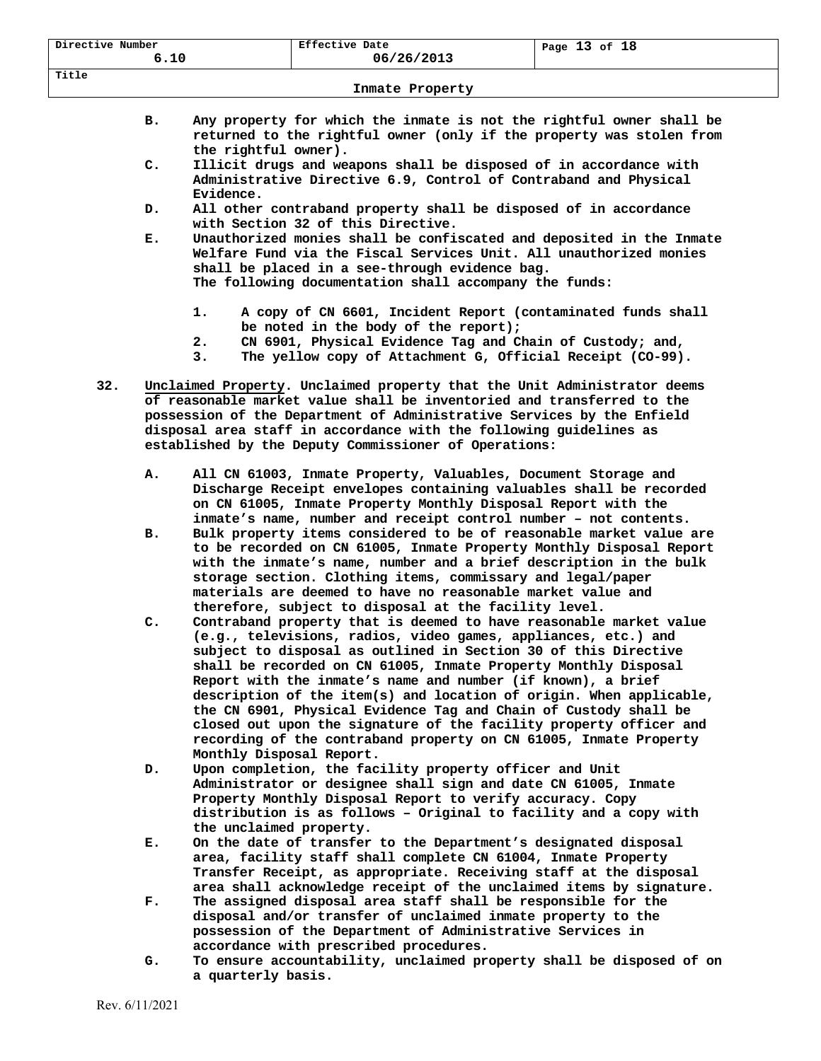| Directive Number<br>6.10 | Effective Date<br>06/26/2013 | Page 13 of 18 |  |
|--------------------------|------------------------------|---------------|--|
| Title                    |                              |               |  |

- **B. Any property for which the inmate is not the rightful owner shall be returned to the rightful owner (only if the property was stolen from the rightful owner).**
- **C. Illicit drugs and weapons shall be disposed of in accordance with Administrative Directive 6.9, Control of Contraband and Physical Evidence.**
- **D. All other contraband property shall be disposed of in accordance with Section 32 of this Directive.**
- **E. Unauthorized monies shall be confiscated and deposited in the Inmate Welfare Fund via the Fiscal Services Unit. All unauthorized monies shall be placed in a see-through evidence bag. The following documentation shall accompany the funds:** 
	- **1. A copy of CN 6601, Incident Report (contaminated funds shall be noted in the body of the report);**
	- **2. CN 6901, Physical Evidence Tag and Chain of Custody; and,**
	- **3. The yellow copy of Attachment G, Official Receipt (CO-99).**
- **32. Unclaimed Property. Unclaimed property that the Unit Administrator deems of reasonable market value shall be inventoried and transferred to the possession of the Department of Administrative Services by the Enfield disposal area staff in accordance with the following guidelines as established by the Deputy Commissioner of Operations:** 
	- **A. All CN 61003, Inmate Property, Valuables, Document Storage and Discharge Receipt envelopes containing valuables shall be recorded on CN 61005, Inmate Property Monthly Disposal Report with the inmate's name, number and receipt control number – not contents.**
	- **B. Bulk property items considered to be of reasonable market value are to be recorded on CN 61005, Inmate Property Monthly Disposal Report with the inmate's name, number and a brief description in the bulk storage section. Clothing items, commissary and legal/paper materials are deemed to have no reasonable market value and therefore, subject to disposal at the facility level.**
	- **C. Contraband property that is deemed to have reasonable market value (e.g., televisions, radios, video games, appliances, etc.) and subject to disposal as outlined in Section 30 of this Directive shall be recorded on CN 61005, Inmate Property Monthly Disposal Report with the inmate's name and number (if known), a brief description of the item(s) and location of origin. When applicable, the CN 6901, Physical Evidence Tag and Chain of Custody shall be closed out upon the signature of the facility property officer and recording of the contraband property on CN 61005, Inmate Property Monthly Disposal Report.**
	- **D. Upon completion, the facility property officer and Unit Administrator or designee shall sign and date CN 61005, Inmate Property Monthly Disposal Report to verify accuracy. Copy distribution is as follows – Original to facility and a copy with the unclaimed property.**
	- **E. On the date of transfer to the Department's designated disposal area, facility staff shall complete CN 61004, Inmate Property Transfer Receipt, as appropriate. Receiving staff at the disposal area shall acknowledge receipt of the unclaimed items by signature.**
	- **F. The assigned disposal area staff shall be responsible for the disposal and/or transfer of unclaimed inmate property to the possession of the Department of Administrative Services in accordance with prescribed procedures.**
	- **G. To ensure accountability, unclaimed property shall be disposed of on a quarterly basis.**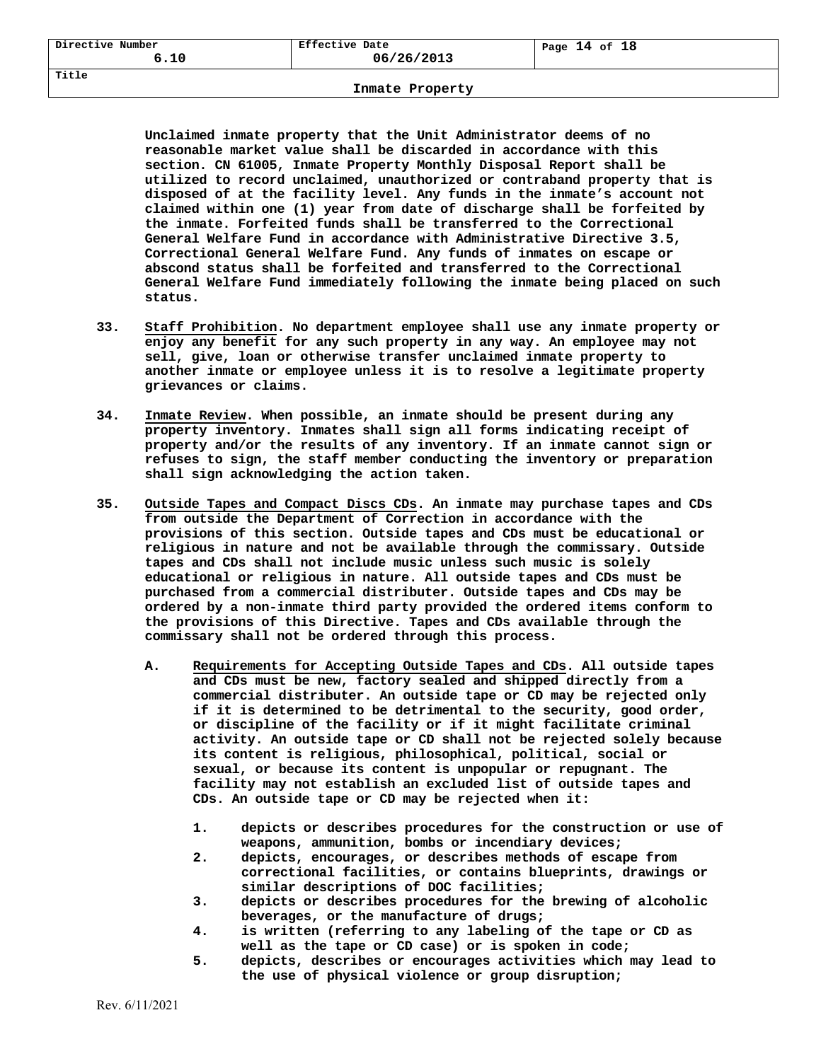**Title** 

### **Inmate Property**

**Unclaimed inmate property that the Unit Administrator deems of no reasonable market value shall be discarded in accordance with this section. CN 61005, Inmate Property Monthly Disposal Report shall be utilized to record unclaimed, unauthorized or contraband property that is disposed of at the facility level. Any funds in the inmate's account not claimed within one (1) year from date of discharge shall be forfeited by the inmate. Forfeited funds shall be transferred to the Correctional General Welfare Fund in accordance with Administrative Directive 3.5, Correctional General Welfare Fund. Any funds of inmates on escape or abscond status shall be forfeited and transferred to the Correctional General Welfare Fund immediately following the inmate being placed on such status.** 

- **33. Staff Prohibition. No department employee shall use any inmate property or enjoy any benefit for any such property in any way. An employee may not sell, give, loan or otherwise transfer unclaimed inmate property to another inmate or employee unless it is to resolve a legitimate property grievances or claims.**
- **34. Inmate Review. When possible, an inmate should be present during any property inventory. Inmates shall sign all forms indicating receipt of property and/or the results of any inventory. If an inmate cannot sign or refuses to sign, the staff member conducting the inventory or preparation shall sign acknowledging the action taken.**
- **35. Outside Tapes and Compact Discs CDs. An inmate may purchase tapes and CDs from outside the Department of Correction in accordance with the provisions of this section. Outside tapes and CDs must be educational or religious in nature and not be available through the commissary. Outside tapes and CDs shall not include music unless such music is solely educational or religious in nature. All outside tapes and CDs must be purchased from a commercial distributer. Outside tapes and CDs may be ordered by a non-inmate third party provided the ordered items conform to the provisions of this Directive. Tapes and CDs available through the commissary shall not be ordered through this process.** 
	- **A. Requirements for Accepting Outside Tapes and CDs. All outside tapes and CDs must be new, factory sealed and shipped directly from a commercial distributer. An outside tape or CD may be rejected only if it is determined to be detrimental to the security, good order, or discipline of the facility or if it might facilitate criminal activity. An outside tape or CD shall not be rejected solely because its content is religious, philosophical, political, social or sexual, or because its content is unpopular or repugnant. The facility may not establish an excluded list of outside tapes and CDs. An outside tape or CD may be rejected when it:** 
		- **1. depicts or describes procedures for the construction or use of weapons, ammunition, bombs or incendiary devices;**
		- **2. depicts, encourages, or describes methods of escape from correctional facilities, or contains blueprints, drawings or similar descriptions of DOC facilities;**
		- **3. depicts or describes procedures for the brewing of alcoholic beverages, or the manufacture of drugs;**
		- **4. is written (referring to any labeling of the tape or CD as well as the tape or CD case) or is spoken in code;**
		- **5. depicts, describes or encourages activities which may lead to the use of physical violence or group disruption;**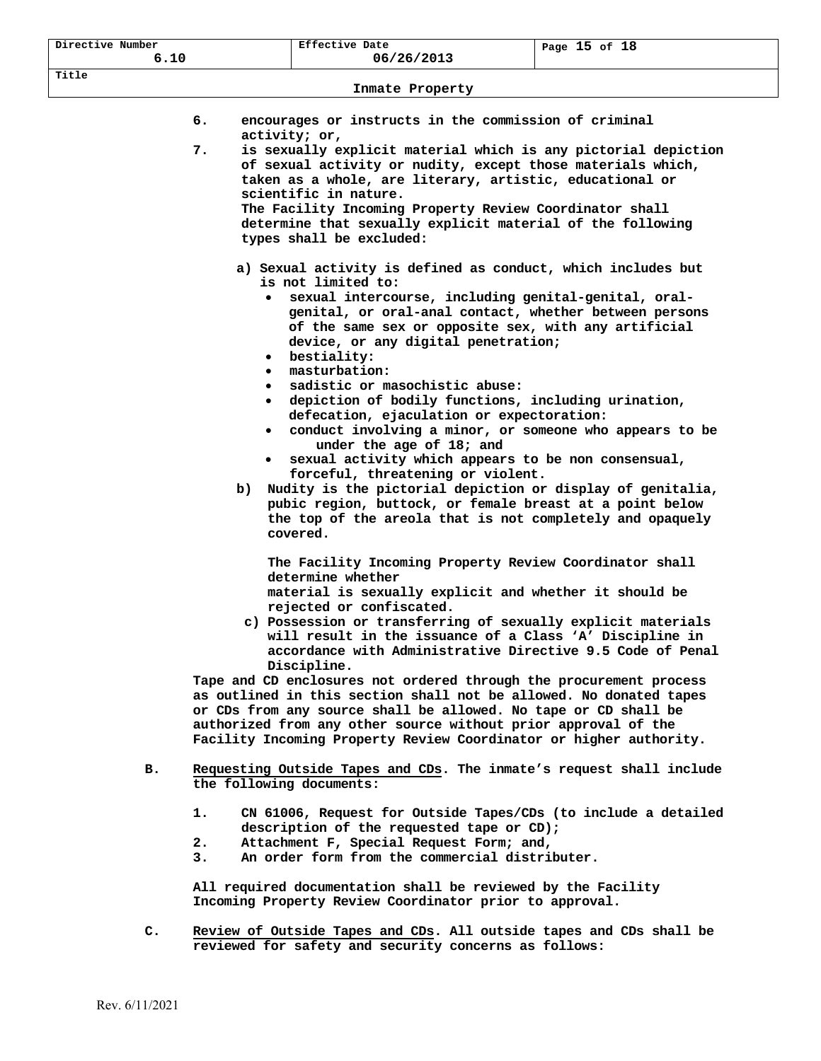| Directive Number<br>6.10 | Effective Date<br>06/26/2013 | Page $15$ of $18$ |
|--------------------------|------------------------------|-------------------|
| Title                    | Inmate Property              |                   |

| encourages or instructs in the commission of criminal |  |  |  |
|-------------------------------------------------------|--|--|--|
| activity; or,                                         |  |  |  |

- **7. is sexually explicit material which is any pictorial depiction of sexual activity or nudity, except those materials which, taken as a whole, are literary, artistic, educational or scientific in nature. The Facility Incoming Property Review Coordinator shall determine that sexually explicit material of the following types shall be excluded:** 
	- **a) Sexual activity is defined as conduct, which includes but is not limited to:** 
		- **sexual intercourse, including genital-genital, oral genital, or oral-anal contact, whether between persons of the same sex or opposite sex, with any artificial device, or any digital penetration;**
		- **bestiality:**
		- **masturbation:**
		- **sadistic or masochistic abuse:**
		- **depiction of bodily functions, including urination, defecation, ejaculation or expectoration:**
		- **conduct involving a minor, or someone who appears to be under the age of 18; and**
		- **sexual activity which appears to be non consensual, forceful, threatening or violent.**
	- **b) Nudity is the pictorial depiction or display of genitalia, pubic region, buttock, or female breast at a point below the top of the areola that is not completely and opaquely covered.**

 **The Facility Incoming Property Review Coordinator shall determine whether** 

 **material is sexually explicit and whether it should be rejected or confiscated.** 

 **c) Possession or transferring of sexually explicit materials will result in the issuance of a Class 'A' Discipline in accordance with Administrative Directive 9.5 Code of Penal Discipline.** 

**Tape and CD enclosures not ordered through the procurement process as outlined in this section shall not be allowed. No donated tapes or CDs from any source shall be allowed. No tape or CD shall be authorized from any other source without prior approval of the Facility Incoming Property Review Coordinator or higher authority.** 

- **B. Requesting Outside Tapes and CDs. The inmate's request shall include the following documents:** 
	- **1. CN 61006, Request for Outside Tapes/CDs (to include a detailed description of the requested tape or CD);**
	- **2. Attachment F, Special Request Form; and,**
	- **3. An order form from the commercial distributer.**

**All required documentation shall be reviewed by the Facility Incoming Property Review Coordinator prior to approval.** 

**C. Review of Outside Tapes and CDs. All outside tapes and CDs shall be reviewed for safety and security concerns as follows:**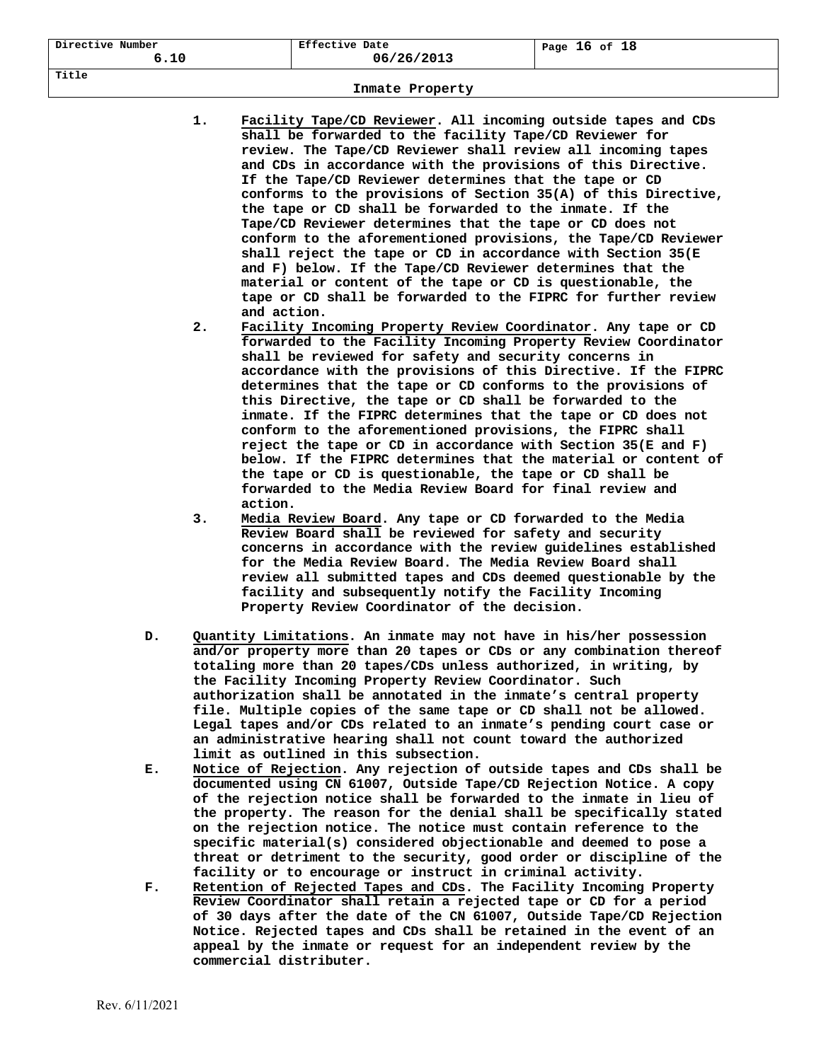| Directive Number<br>6.10 | Effective Date<br>06/26/2013 | Page 16 of 18 |
|--------------------------|------------------------------|---------------|
| Title                    |                              |               |

- **1. Facility Tape/CD Reviewer. All incoming outside tapes and CDs shall be forwarded to the facility Tape/CD Reviewer for review. The Tape/CD Reviewer shall review all incoming tapes and CDs in accordance with the provisions of this Directive. If the Tape/CD Reviewer determines that the tape or CD conforms to the provisions of Section 35(A) of this Directive, the tape or CD shall be forwarded to the inmate. If the Tape/CD Reviewer determines that the tape or CD does not conform to the aforementioned provisions, the Tape/CD Reviewer shall reject the tape or CD in accordance with Section 35(E and F) below. If the Tape/CD Reviewer determines that the material or content of the tape or CD is questionable, the tape or CD shall be forwarded to the FIPRC for further review and action.**
- **2. Facility Incoming Property Review Coordinator. Any tape or CD forwarded to the Facility Incoming Property Review Coordinator shall be reviewed for safety and security concerns in accordance with the provisions of this Directive. If the FIPRC determines that the tape or CD conforms to the provisions of this Directive, the tape or CD shall be forwarded to the inmate. If the FIPRC determines that the tape or CD does not conform to the aforementioned provisions, the FIPRC shall reject the tape or CD in accordance with Section 35(E and F) below. If the FIPRC determines that the material or content of the tape or CD is questionable, the tape or CD shall be forwarded to the Media Review Board for final review and action.**
- **3. Media Review Board. Any tape or CD forwarded to the Media Review Board shall be reviewed for safety and security concerns in accordance with the review guidelines established for the Media Review Board. The Media Review Board shall review all submitted tapes and CDs deemed questionable by the facility and subsequently notify the Facility Incoming Property Review Coordinator of the decision.**
- **D. Quantity Limitations. An inmate may not have in his/her possession and/or property more than 20 tapes or CDs or any combination thereof totaling more than 20 tapes/CDs unless authorized, in writing, by the Facility Incoming Property Review Coordinator. Such authorization shall be annotated in the inmate's central property file. Multiple copies of the same tape or CD shall not be allowed. Legal tapes and/or CDs related to an inmate's pending court case or an administrative hearing shall not count toward the authorized limit as outlined in this subsection.**
- **E. Notice of Rejection. Any rejection of outside tapes and CDs shall be documented using CN 61007, Outside Tape/CD Rejection Notice. A copy of the rejection notice shall be forwarded to the inmate in lieu of the property. The reason for the denial shall be specifically stated on the rejection notice. The notice must contain reference to the specific material(s) considered objectionable and deemed to pose a threat or detriment to the security, good order or discipline of the facility or to encourage or instruct in criminal activity.**
- **F. Retention of Rejected Tapes and CDs. The Facility Incoming Property Review Coordinator shall retain a rejected tape or CD for a period of 30 days after the date of the CN 61007, Outside Tape/CD Rejection Notice. Rejected tapes and CDs shall be retained in the event of an appeal by the inmate or request for an independent review by the commercial distributer.**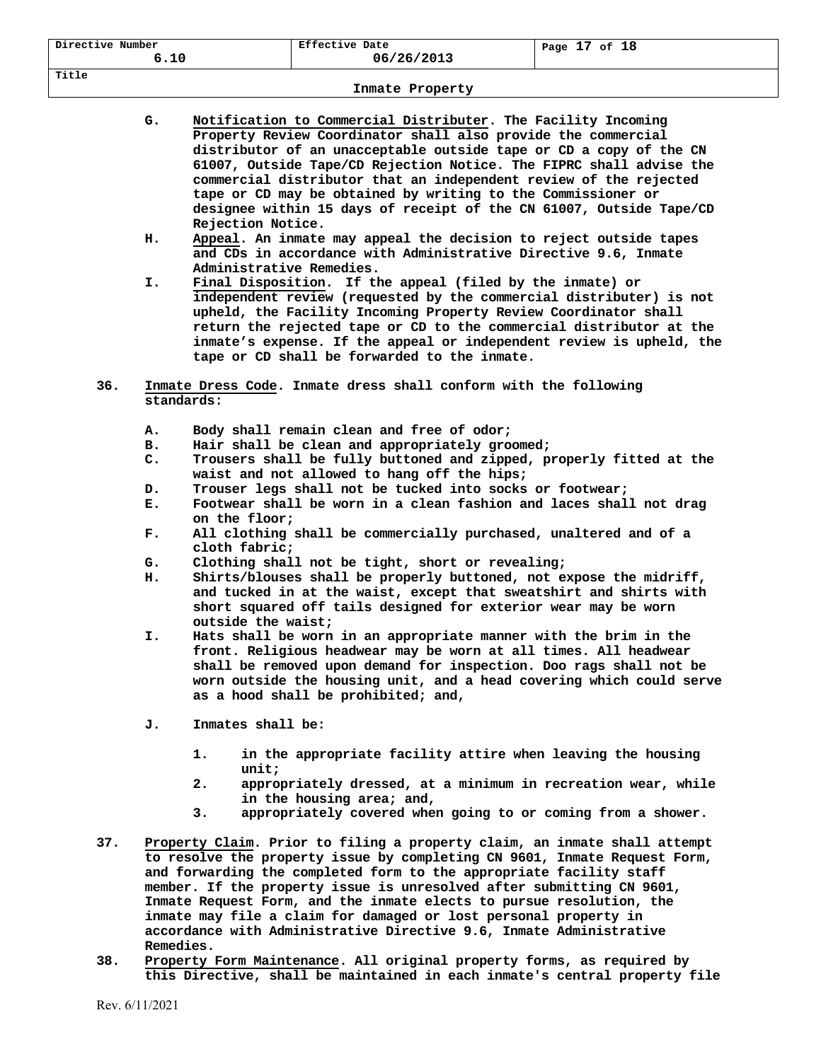| Directive Number | Effective Date | of 18   |
|------------------|----------------|---------|
| 6.10             | 06/26/2013     | Page 17 |
| Title            |                |         |

| G. | Notification to Commercial Distributer. The Facility Incoming       |
|----|---------------------------------------------------------------------|
|    | Property Review Coordinator shall also provide the commercial       |
|    | distributor of an unacceptable outside tape or CD a copy of the CN  |
|    | 61007, Outside Tape/CD Rejection Notice. The FIPRC shall advise the |
|    | commercial distributor that an independent review of the rejected   |
|    | tape or CD may be obtained by writing to the Commissioner or        |
|    | designee within 15 days of receipt of the CN 61007, Outside Tape/CD |
|    | Rejection Notice.                                                   |
|    |                                                                     |

- **H. Appeal. An inmate may appeal the decision to reject outside tapes and CDs in accordance with Administrative Directive 9.6, Inmate Administrative Remedies.**
- **I. Final Disposition. If the appeal (filed by the inmate) or independent review (requested by the commercial distributer) is not upheld, the Facility Incoming Property Review Coordinator shall return the rejected tape or CD to the commercial distributor at the inmate's expense. If the appeal or independent review is upheld, the tape or CD shall be forwarded to the inmate.**
- **36. Inmate Dress Code. Inmate dress shall conform with the following standards:** 
	- **A. Body shall remain clean and free of odor;**
	- **B. Hair shall be clean and appropriately groomed;**
	- **C. Trousers shall be fully buttoned and zipped, properly fitted at the waist and not allowed to hang off the hips;**
	- **D. Trouser legs shall not be tucked into socks or footwear;**
	- **E. Footwear shall be worn in a clean fashion and laces shall not drag on the floor;**
	- **F. All clothing shall be commercially purchased, unaltered and of a cloth fabric;**
	- **G. Clothing shall not be tight, short or revealing;**
	- **H. Shirts/blouses shall be properly buttoned, not expose the midriff, and tucked in at the waist, except that sweatshirt and shirts with short squared off tails designed for exterior wear may be worn outside the waist;**
	- **I. Hats shall be worn in an appropriate manner with the brim in the front. Religious headwear may be worn at all times. All headwear shall be removed upon demand for inspection. Doo rags shall not be worn outside the housing unit, and a head covering which could serve as a hood shall be prohibited; and,**
	- **J. Inmates shall be:** 
		- **1. in the appropriate facility attire when leaving the housing unit;**
		- **2. appropriately dressed, at a minimum in recreation wear, while in the housing area; and,**
		- **3. appropriately covered when going to or coming from a shower.**
- **37. Property Claim. Prior to filing a property claim, an inmate shall attempt to resolve the property issue by completing CN 9601, Inmate Request Form, and forwarding the completed form to the appropriate facility staff member. If the property issue is unresolved after submitting CN 9601, Inmate Request Form, and the inmate elects to pursue resolution, the inmate may file a claim for damaged or lost personal property in accordance with Administrative Directive 9.6, Inmate Administrative Remedies.**
- **38. Property Form Maintenance. All original property forms, as required by this Directive, shall be maintained in each inmate's central property file**